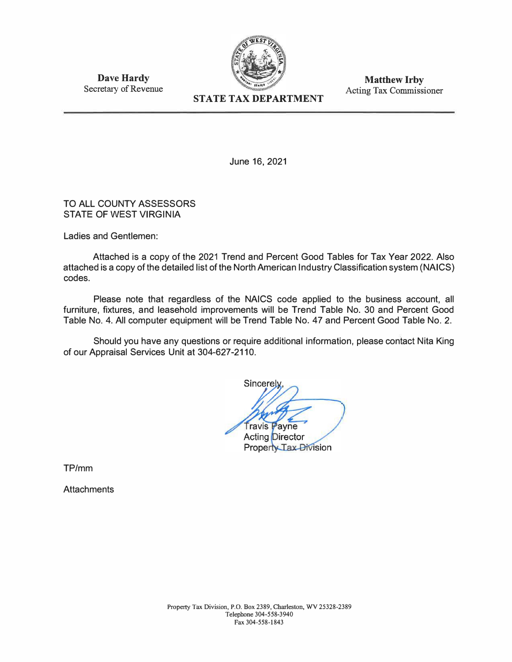

**Matthew Irby**  Acting Tax Commissioner

**Dave Hardy**  Secretary of Revenue

June 16, 2021

# TO ALL COUNTY ASSESSORS STATE OF WEST VIRGINIA

Ladies and Gentlemen:

Attached is a copy of the 2021 Trend and Percent Good Tables for Tax Year 2022. Also attached is a copy of the detailed list of the North American Industry Classification system (NAICS) codes.

Please note that regardless of the NAICS code applied to the business account, all furniture, fixtures, and leasehold improvements will be Trend Table No. 30 and Percent Good Table No. 4. All computer equipment will be Trend Table No. 47 and Percent Good Table No. 2.

Should you have any questions or require additional information, please contact Nita King of our Appraisal Services Unit at 304-627-2110.

Sincerely Travis Payne **Acting Director** Property Tax Division

TP/mm

**Attachments**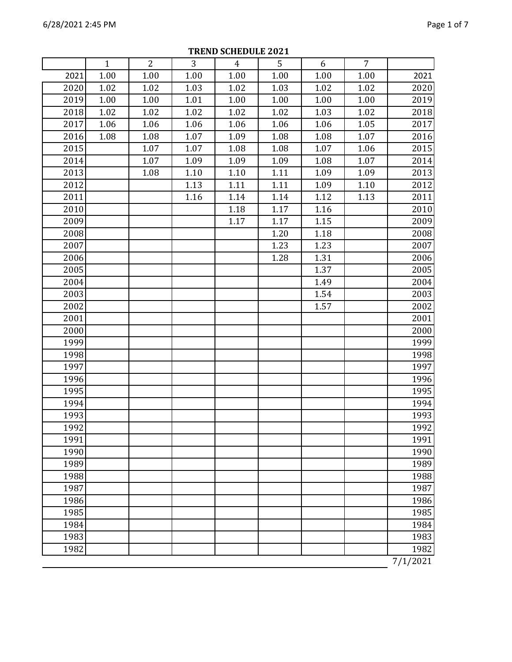|      | $\mathbf{1}$ | $\overline{2}$ | 3      | $\overline{4}$ | 5    | 6    | $\overline{7}$ |          |
|------|--------------|----------------|--------|----------------|------|------|----------------|----------|
| 2021 | 1.00         | 1.00           | 1.00   | 1.00           | 1.00 | 1.00 | 1.00           | 2021     |
| 2020 | 1.02         | 1.02           | 1.03   | 1.02           | 1.03 | 1.02 | 1.02           | 2020     |
| 2019 | 1.00         | 1.00           | 1.01   | 1.00           | 1.00 | 1.00 | 1.00           | 2019     |
| 2018 | 1.02         | 1.02           | 1.02   | 1.02           | 1.02 | 1.03 | 1.02           | 2018     |
| 2017 | 1.06         | 1.06           | 1.06   | 1.06           | 1.06 | 1.06 | 1.05           | 2017     |
| 2016 | 1.08         | 1.08           | 1.07   | 1.09           | 1.08 | 1.08 | 1.07           | 2016     |
| 2015 |              | 1.07           | 1.07   | 1.08           | 1.08 | 1.07 | 1.06           | 2015     |
| 2014 |              | 1.07           | 1.09   | 1.09           | 1.09 | 1.08 | 1.07           | 2014     |
| 2013 |              | 1.08           | $1.10$ | 1.10           | 1.11 | 1.09 | 1.09           | 2013     |
| 2012 |              |                | 1.13   | 1.11           | 1.11 | 1.09 | 1.10           | 2012     |
| 2011 |              |                | 1.16   | 1.14           | 1.14 | 1.12 | 1.13           | 2011     |
| 2010 |              |                |        | 1.18           | 1.17 | 1.16 |                | 2010     |
| 2009 |              |                |        | 1.17           | 1.17 | 1.15 |                | 2009     |
| 2008 |              |                |        |                | 1.20 | 1.18 |                | 2008     |
| 2007 |              |                |        |                | 1.23 | 1.23 |                | 2007     |
| 2006 |              |                |        |                | 1.28 | 1.31 |                | 2006     |
| 2005 |              |                |        |                |      | 1.37 |                | 2005     |
| 2004 |              |                |        |                |      | 1.49 |                | 2004     |
| 2003 |              |                |        |                |      | 1.54 |                | 2003     |
| 2002 |              |                |        |                |      | 1.57 |                | 2002     |
| 2001 |              |                |        |                |      |      |                | 2001     |
| 2000 |              |                |        |                |      |      |                | 2000     |
| 1999 |              |                |        |                |      |      |                | 1999     |
| 1998 |              |                |        |                |      |      |                | 1998     |
| 1997 |              |                |        |                |      |      |                | 1997     |
| 1996 |              |                |        |                |      |      |                | 1996     |
| 1995 |              |                |        |                |      |      |                | 1995     |
| 1994 |              |                |        |                |      |      |                | 1994     |
| 1993 |              |                |        |                |      |      |                | 1993     |
| 1992 |              |                |        |                |      |      |                | 1992     |
| 1991 |              |                |        |                |      |      |                | 1991     |
| 1990 |              |                |        |                |      |      |                | 1990     |
| 1989 |              |                |        |                |      |      |                | 1989     |
| 1988 |              |                |        |                |      |      |                | 1988     |
| 1987 |              |                |        |                |      |      |                | 1987     |
| 1986 |              |                |        |                |      |      |                | 1986     |
| 1985 |              |                |        |                |      |      |                | 1985     |
| 1984 |              |                |        |                |      |      |                | 1984     |
| 1983 |              |                |        |                |      |      |                | 1983     |
| 1982 |              |                |        |                |      |      |                | 1982     |
|      |              |                |        |                |      |      |                | 7/1/2021 |

**TREND SCHEDULE 2021**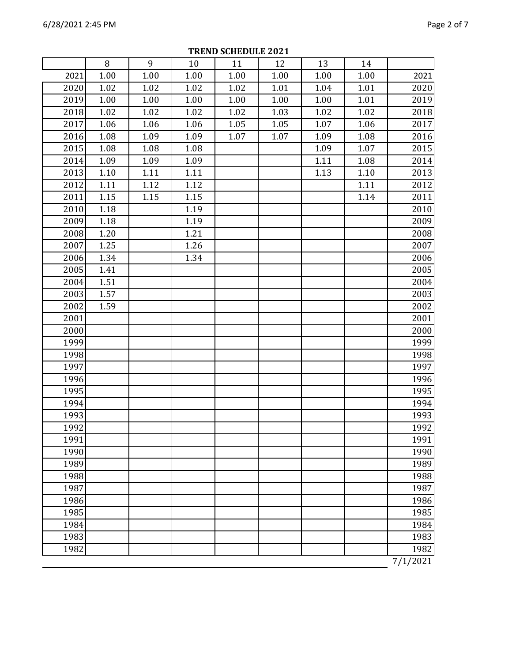|      | 8    | 9    | 10   | 11   | 12   | 13   | 14   |          |
|------|------|------|------|------|------|------|------|----------|
| 2021 | 1.00 | 1.00 | 1.00 | 1.00 | 1.00 | 1.00 | 1.00 | 2021     |
| 2020 | 1.02 | 1.02 | 1.02 | 1.02 | 1.01 | 1.04 | 1.01 | 2020     |
| 2019 | 1.00 | 1.00 | 1.00 | 1.00 | 1.00 | 1.00 | 1.01 | 2019     |
| 2018 | 1.02 | 1.02 | 1.02 | 1.02 | 1.03 | 1.02 | 1.02 | 2018     |
| 2017 | 1.06 | 1.06 | 1.06 | 1.05 | 1.05 | 1.07 | 1.06 | 2017     |
| 2016 | 1.08 | 1.09 | 1.09 | 1.07 | 1.07 | 1.09 | 1.08 | 2016     |
| 2015 | 1.08 | 1.08 | 1.08 |      |      | 1.09 | 1.07 | 2015     |
| 2014 | 1.09 | 1.09 | 1.09 |      |      | 1.11 | 1.08 | 2014     |
| 2013 | 1.10 | 1.11 | 1.11 |      |      | 1.13 | 1.10 | 2013     |
| 2012 | 1.11 | 1.12 | 1.12 |      |      |      | 1.11 | 2012     |
| 2011 | 1.15 | 1.15 | 1.15 |      |      |      | 1.14 | 2011     |
| 2010 | 1.18 |      | 1.19 |      |      |      |      | 2010     |
| 2009 | 1.18 |      | 1.19 |      |      |      |      | 2009     |
| 2008 | 1.20 |      | 1.21 |      |      |      |      | 2008     |
| 2007 | 1.25 |      | 1.26 |      |      |      |      | 2007     |
| 2006 | 1.34 |      | 1.34 |      |      |      |      | 2006     |
| 2005 | 1.41 |      |      |      |      |      |      | 2005     |
| 2004 | 1.51 |      |      |      |      |      |      | 2004     |
| 2003 | 1.57 |      |      |      |      |      |      | 2003     |
| 2002 | 1.59 |      |      |      |      |      |      | 2002     |
| 2001 |      |      |      |      |      |      |      | 2001     |
| 2000 |      |      |      |      |      |      |      | 2000     |
| 1999 |      |      |      |      |      |      |      | 1999     |
| 1998 |      |      |      |      |      |      |      | 1998     |
| 1997 |      |      |      |      |      |      |      | 1997     |
| 1996 |      |      |      |      |      |      |      | 1996     |
| 1995 |      |      |      |      |      |      |      | 1995     |
| 1994 |      |      |      |      |      |      |      | 1994     |
| 1993 |      |      |      |      |      |      |      | 1993     |
| 1992 |      |      |      |      |      |      |      | 1992     |
| 1991 |      |      |      |      |      |      |      | 1991     |
| 1990 |      |      |      |      |      |      |      | 1990     |
| 1989 |      |      |      |      |      |      |      | 1989     |
| 1988 |      |      |      |      |      |      |      | 1988     |
| 1987 |      |      |      |      |      |      |      | 1987     |
| 1986 |      |      |      |      |      |      |      | 1986     |
| 1985 |      |      |      |      |      |      |      | 1985     |
| 1984 |      |      |      |      |      |      |      | 1984     |
| 1983 |      |      |      |      |      |      |      | 1983     |
| 1982 |      |      |      |      |      |      |      | 1982     |
|      |      |      |      |      |      |      |      | 7/1/2021 |

**TREND SCHEDULE 2021**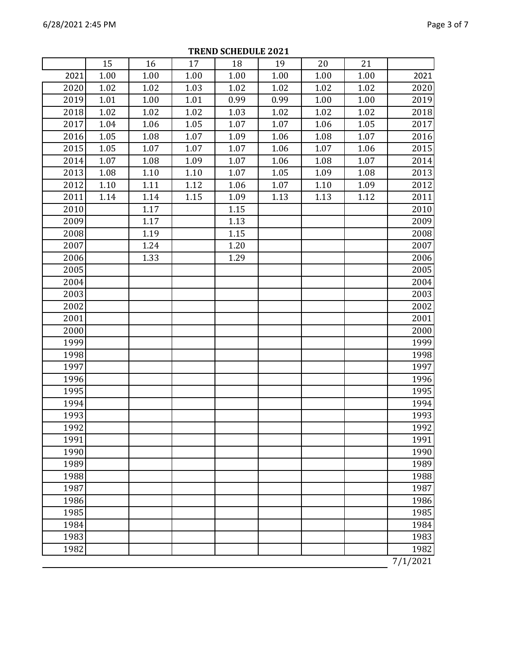|      | 15   | 16   | 17   | 18   | 19   | 20   | 21   |          |
|------|------|------|------|------|------|------|------|----------|
| 2021 | 1.00 | 1.00 | 1.00 | 1.00 | 1.00 | 1.00 | 1.00 | 2021     |
| 2020 | 1.02 | 1.02 | 1.03 | 1.02 | 1.02 | 1.02 | 1.02 | 2020     |
| 2019 | 1.01 | 1.00 | 1.01 | 0.99 | 0.99 | 1.00 | 1.00 | 2019     |
| 2018 | 1.02 | 1.02 | 1.02 | 1.03 | 1.02 | 1.02 | 1.02 | 2018     |
| 2017 | 1.04 | 1.06 | 1.05 | 1.07 | 1.07 | 1.06 | 1.05 | 2017     |
| 2016 | 1.05 | 1.08 | 1.07 | 1.09 | 1.06 | 1.08 | 1.07 | 2016     |
| 2015 | 1.05 | 1.07 | 1.07 | 1.07 | 1.06 | 1.07 | 1.06 | 2015     |
| 2014 | 1.07 | 1.08 | 1.09 | 1.07 | 1.06 | 1.08 | 1.07 | 2014     |
| 2013 | 1.08 | 1.10 | 1.10 | 1.07 | 1.05 | 1.09 | 1.08 | 2013     |
| 2012 | 1.10 | 1.11 | 1.12 | 1.06 | 1.07 | 1.10 | 1.09 | 2012     |
| 2011 | 1.14 | 1.14 | 1.15 | 1.09 | 1.13 | 1.13 | 1.12 | 2011     |
| 2010 |      | 1.17 |      | 1.15 |      |      |      | 2010     |
| 2009 |      | 1.17 |      | 1.13 |      |      |      | 2009     |
| 2008 |      | 1.19 |      | 1.15 |      |      |      | 2008     |
| 2007 |      | 1.24 |      | 1.20 |      |      |      | 2007     |
| 2006 |      | 1.33 |      | 1.29 |      |      |      | 2006     |
| 2005 |      |      |      |      |      |      |      | 2005     |
| 2004 |      |      |      |      |      |      |      | 2004     |
| 2003 |      |      |      |      |      |      |      | 2003     |
| 2002 |      |      |      |      |      |      |      | 2002     |
| 2001 |      |      |      |      |      |      |      | 2001     |
| 2000 |      |      |      |      |      |      |      | 2000     |
| 1999 |      |      |      |      |      |      |      | 1999     |
| 1998 |      |      |      |      |      |      |      | 1998     |
| 1997 |      |      |      |      |      |      |      | 1997     |
| 1996 |      |      |      |      |      |      |      | 1996     |
| 1995 |      |      |      |      |      |      |      | 1995     |
| 1994 |      |      |      |      |      |      |      | 1994     |
| 1993 |      |      |      |      |      |      |      | 1993     |
| 1992 |      |      |      |      |      |      |      | 1992     |
| 1991 |      |      |      |      |      |      |      | 1991     |
| 1990 |      |      |      |      |      |      |      | 1990     |
| 1989 |      |      |      |      |      |      |      | 1989     |
| 1988 |      |      |      |      |      |      |      | 1988     |
| 1987 |      |      |      |      |      |      |      | 1987     |
| 1986 |      |      |      |      |      |      |      | 1986     |
| 1985 |      |      |      |      |      |      |      | 1985     |
| 1984 |      |      |      |      |      |      |      | 1984     |
| 1983 |      |      |      |      |      |      |      | 1983     |
| 1982 |      |      |      |      |      |      |      | 1982     |
|      |      |      |      |      |      |      |      | 7/1/2021 |

**TREND SCHEDULE 2021**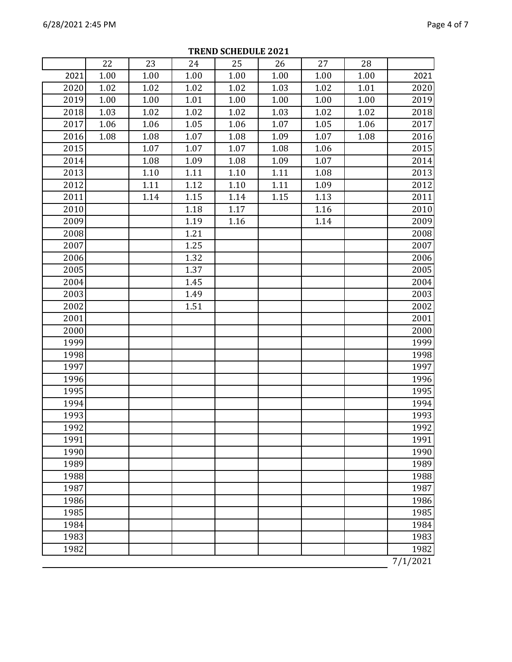|      | 22   | 23   | 24   | 25   | 26   | 27   | 28   |          |
|------|------|------|------|------|------|------|------|----------|
| 2021 | 1.00 | 1.00 | 1.00 | 1.00 | 1.00 | 1.00 | 1.00 | 2021     |
| 2020 | 1.02 | 1.02 | 1.02 | 1.02 | 1.03 | 1.02 | 1.01 | 2020     |
| 2019 | 1.00 | 1.00 | 1.01 | 1.00 | 1.00 | 1.00 | 1.00 | 2019     |
| 2018 | 1.03 | 1.02 | 1.02 | 1.02 | 1.03 | 1.02 | 1.02 | 2018     |
| 2017 | 1.06 | 1.06 | 1.05 | 1.06 | 1.07 | 1.05 | 1.06 | 2017     |
| 2016 | 1.08 | 1.08 | 1.07 | 1.08 | 1.09 | 1.07 | 1.08 | 2016     |
| 2015 |      | 1.07 | 1.07 | 1.07 | 1.08 | 1.06 |      | 2015     |
| 2014 |      | 1.08 | 1.09 | 1.08 | 1.09 | 1.07 |      | 2014     |
| 2013 |      | 1.10 | 1.11 | 1.10 | 1.11 | 1.08 |      | 2013     |
| 2012 |      | 1.11 | 1.12 | 1.10 | 1.11 | 1.09 |      | 2012     |
| 2011 |      | 1.14 | 1.15 | 1.14 | 1.15 | 1.13 |      | 2011     |
| 2010 |      |      | 1.18 | 1.17 |      | 1.16 |      | 2010     |
| 2009 |      |      | 1.19 | 1.16 |      | 1.14 |      | 2009     |
| 2008 |      |      | 1.21 |      |      |      |      | 2008     |
| 2007 |      |      | 1.25 |      |      |      |      | 2007     |
| 2006 |      |      | 1.32 |      |      |      |      | 2006     |
| 2005 |      |      | 1.37 |      |      |      |      | 2005     |
| 2004 |      |      | 1.45 |      |      |      |      | 2004     |
| 2003 |      |      | 1.49 |      |      |      |      | 2003     |
| 2002 |      |      | 1.51 |      |      |      |      | 2002     |
| 2001 |      |      |      |      |      |      |      | 2001     |
| 2000 |      |      |      |      |      |      |      | 2000     |
| 1999 |      |      |      |      |      |      |      | 1999     |
| 1998 |      |      |      |      |      |      |      | 1998     |
| 1997 |      |      |      |      |      |      |      | 1997     |
| 1996 |      |      |      |      |      |      |      | 1996     |
| 1995 |      |      |      |      |      |      |      | 1995     |
| 1994 |      |      |      |      |      |      |      | 1994     |
| 1993 |      |      |      |      |      |      |      | 1993     |
| 1992 |      |      |      |      |      |      |      | 1992     |
| 1991 |      |      |      |      |      |      |      | 1991     |
| 1990 |      |      |      |      |      |      |      | 1990     |
| 1989 |      |      |      |      |      |      |      | 1989     |
| 1988 |      |      |      |      |      |      |      | 1988     |
| 1987 |      |      |      |      |      |      |      | 1987     |
| 1986 |      |      |      |      |      |      |      | 1986     |
| 1985 |      |      |      |      |      |      |      | 1985     |
| 1984 |      |      |      |      |      |      |      | 1984     |
| 1983 |      |      |      |      |      |      |      | 1983     |
| 1982 |      |      |      |      |      |      |      | 1982     |
|      |      |      |      |      |      |      |      | 7/1/2021 |

**TREND SCHEDULE 2021**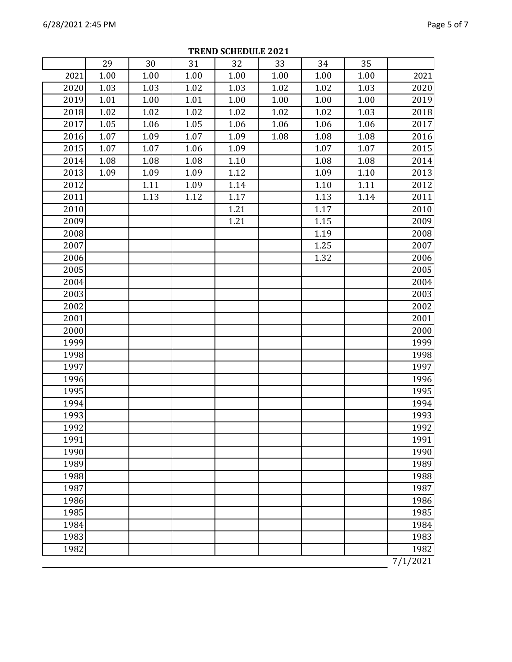|      | 29   | 30   | 31   | 32   | 33   | 34   | 35   |          |
|------|------|------|------|------|------|------|------|----------|
| 2021 | 1.00 | 1.00 | 1.00 | 1.00 | 1.00 | 1.00 | 1.00 | 2021     |
| 2020 | 1.03 | 1.03 | 1.02 | 1.03 | 1.02 | 1.02 | 1.03 | 2020     |
| 2019 | 1.01 | 1.00 | 1.01 | 1.00 | 1.00 | 1.00 | 1.00 | 2019     |
| 2018 | 1.02 | 1.02 | 1.02 | 1.02 | 1.02 | 1.02 | 1.03 | 2018     |
| 2017 | 1.05 | 1.06 | 1.05 | 1.06 | 1.06 | 1.06 | 1.06 | 2017     |
| 2016 | 1.07 | 1.09 | 1.07 | 1.09 | 1.08 | 1.08 | 1.08 | 2016     |
| 2015 | 1.07 | 1.07 | 1.06 | 1.09 |      | 1.07 | 1.07 | 2015     |
| 2014 | 1.08 | 1.08 | 1.08 | 1.10 |      | 1.08 | 1.08 | 2014     |
| 2013 | 1.09 | 1.09 | 1.09 | 1.12 |      | 1.09 | 1.10 | 2013     |
| 2012 |      | 1.11 | 1.09 | 1.14 |      | 1.10 | 1.11 | 2012     |
| 2011 |      | 1.13 | 1.12 | 1.17 |      | 1.13 | 1.14 | 2011     |
| 2010 |      |      |      | 1.21 |      | 1.17 |      | 2010     |
| 2009 |      |      |      | 1.21 |      | 1.15 |      | 2009     |
| 2008 |      |      |      |      |      | 1.19 |      | 2008     |
| 2007 |      |      |      |      |      | 1.25 |      | 2007     |
| 2006 |      |      |      |      |      | 1.32 |      | 2006     |
| 2005 |      |      |      |      |      |      |      | 2005     |
| 2004 |      |      |      |      |      |      |      | 2004     |
| 2003 |      |      |      |      |      |      |      | 2003     |
| 2002 |      |      |      |      |      |      |      | 2002     |
| 2001 |      |      |      |      |      |      |      | 2001     |
| 2000 |      |      |      |      |      |      |      | 2000     |
| 1999 |      |      |      |      |      |      |      | 1999     |
| 1998 |      |      |      |      |      |      |      | 1998     |
| 1997 |      |      |      |      |      |      |      | 1997     |
| 1996 |      |      |      |      |      |      |      | 1996     |
| 1995 |      |      |      |      |      |      |      | 1995     |
| 1994 |      |      |      |      |      |      |      | 1994     |
| 1993 |      |      |      |      |      |      |      | 1993     |
| 1992 |      |      |      |      |      |      |      | 1992     |
| 1991 |      |      |      |      |      |      |      | 1991     |
| 1990 |      |      |      |      |      |      |      | 1990     |
| 1989 |      |      |      |      |      |      |      | 1989     |
| 1988 |      |      |      |      |      |      |      | 1988     |
| 1987 |      |      |      |      |      |      |      | 1987     |
| 1986 |      |      |      |      |      |      |      | 1986     |
| 1985 |      |      |      |      |      |      |      | 1985     |
| 1984 |      |      |      |      |      |      |      | 1984     |
| 1983 |      |      |      |      |      |      |      | 1983     |
| 1982 |      |      |      |      |      |      |      | 1982     |
|      |      |      |      |      |      |      |      | 7/1/2021 |

**TREND SCHEDULE 2021**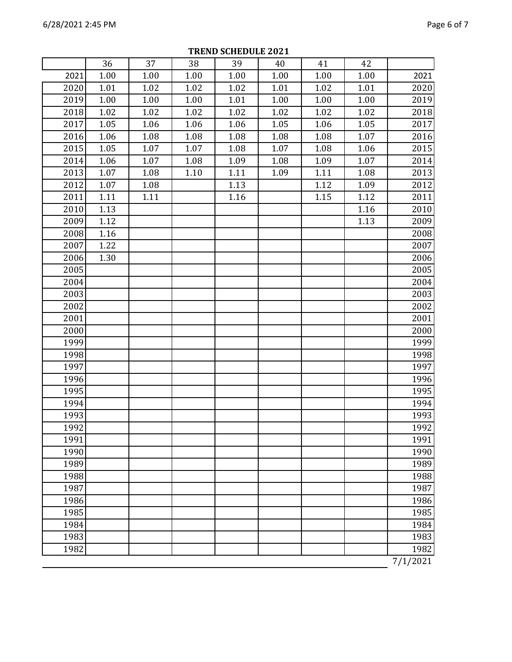|      | 36   | 37   | 38   | 39   | 40   | 41   | 42   |          |
|------|------|------|------|------|------|------|------|----------|
| 2021 | 1.00 | 1.00 | 1.00 | 1.00 | 1.00 | 1.00 | 1.00 | 2021     |
| 2020 | 1.01 | 1.02 | 1.02 | 1.02 | 1.01 | 1.02 | 1.01 | 2020     |
| 2019 | 1.00 | 1.00 | 1.00 | 1.01 | 1.00 | 1.00 | 1.00 | 2019     |
| 2018 | 1.02 | 1.02 | 1.02 | 1.02 | 1.02 | 1.02 | 1.02 | 2018     |
| 2017 | 1.05 | 1.06 | 1.06 | 1.06 | 1.05 | 1.06 | 1.05 | 2017     |
| 2016 | 1.06 | 1.08 | 1.08 | 1.08 | 1.08 | 1.08 | 1.07 | 2016     |
| 2015 | 1.05 | 1.07 | 1.07 | 1.08 | 1.07 | 1.08 | 1.06 | 2015     |
| 2014 | 1.06 | 1.07 | 1.08 | 1.09 | 1.08 | 1.09 | 1.07 | 2014     |
| 2013 | 1.07 | 1.08 | 1.10 | 1.11 | 1.09 | 1.11 | 1.08 | 2013     |
| 2012 | 1.07 | 1.08 |      | 1.13 |      | 1.12 | 1.09 | 2012     |
| 2011 | 1.11 | 1.11 |      | 1.16 |      | 1.15 | 1.12 | 2011     |
| 2010 | 1.13 |      |      |      |      |      | 1.16 | 2010     |
| 2009 | 1.12 |      |      |      |      |      | 1.13 | 2009     |
| 2008 | 1.16 |      |      |      |      |      |      | 2008     |
| 2007 | 1.22 |      |      |      |      |      |      | 2007     |
| 2006 | 1.30 |      |      |      |      |      |      | 2006     |
| 2005 |      |      |      |      |      |      |      | 2005     |
| 2004 |      |      |      |      |      |      |      | 2004     |
| 2003 |      |      |      |      |      |      |      | 2003     |
| 2002 |      |      |      |      |      |      |      | 2002     |
| 2001 |      |      |      |      |      |      |      | 2001     |
| 2000 |      |      |      |      |      |      |      | 2000     |
| 1999 |      |      |      |      |      |      |      | 1999     |
| 1998 |      |      |      |      |      |      |      | 1998     |
| 1997 |      |      |      |      |      |      |      | 1997     |
| 1996 |      |      |      |      |      |      |      | 1996     |
| 1995 |      |      |      |      |      |      |      | 1995     |
| 1994 |      |      |      |      |      |      |      | 1994     |
| 1993 |      |      |      |      |      |      |      | 1993     |
| 1992 |      |      |      |      |      |      |      | 1992     |
| 1991 |      |      |      |      |      |      |      | 1991     |
| 1990 |      |      |      |      |      |      |      | 1990     |
| 1989 |      |      |      |      |      |      |      | 1989     |
| 1988 |      |      |      |      |      |      |      | 1988     |
| 1987 |      |      |      |      |      |      |      | 1987     |
| 1986 |      |      |      |      |      |      |      | 1986     |
| 1985 |      |      |      |      |      |      |      | 1985     |
| 1984 |      |      |      |      |      |      |      | 1984     |
| 1983 |      |      |      |      |      |      |      | 1983     |
| 1982 |      |      |      |      |      |      |      | 1982     |
|      |      |      |      |      |      |      |      | 7/1/2021 |

**TREND SCHEDULE 2021**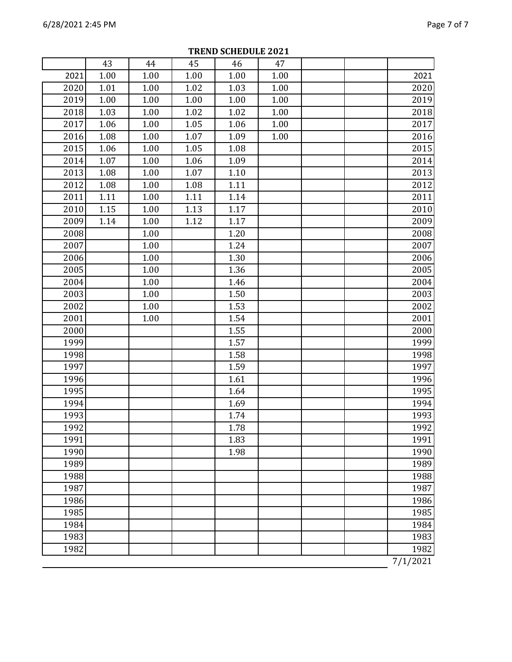|      | 43   | 44   | 45   | 46   | 47   |          |
|------|------|------|------|------|------|----------|
| 2021 | 1.00 | 1.00 | 1.00 | 1.00 | 1.00 | 2021     |
| 2020 | 1.01 | 1.00 | 1.02 | 1.03 | 1.00 | 2020     |
| 2019 | 1.00 | 1.00 | 1.00 | 1.00 | 1.00 | 2019     |
| 2018 | 1.03 | 1.00 | 1.02 | 1.02 | 1.00 | 2018     |
| 2017 | 1.06 | 1.00 | 1.05 | 1.06 | 1.00 | 2017     |
| 2016 | 1.08 | 1.00 | 1.07 | 1.09 | 1.00 | 2016     |
| 2015 | 1.06 | 1.00 | 1.05 | 1.08 |      | 2015     |
| 2014 | 1.07 | 1.00 | 1.06 | 1.09 |      | 2014     |
| 2013 | 1.08 | 1.00 | 1.07 | 1.10 |      | 2013     |
| 2012 | 1.08 | 1.00 | 1.08 | 1.11 |      | 2012     |
| 2011 | 1.11 | 1.00 | 1.11 | 1.14 |      | 2011     |
| 2010 | 1.15 | 1.00 | 1.13 | 1.17 |      | 2010     |
| 2009 | 1.14 | 1.00 | 1.12 | 1.17 |      | 2009     |
| 2008 |      | 1.00 |      | 1.20 |      | 2008     |
| 2007 |      | 1.00 |      | 1.24 |      | 2007     |
| 2006 |      | 1.00 |      | 1.30 |      | 2006     |
| 2005 |      | 1.00 |      | 1.36 |      | 2005     |
| 2004 |      | 1.00 |      | 1.46 |      | 2004     |
| 2003 |      | 1.00 |      | 1.50 |      | 2003     |
| 2002 |      | 1.00 |      | 1.53 |      | 2002     |
| 2001 |      | 1.00 |      | 1.54 |      | 2001     |
| 2000 |      |      |      | 1.55 |      | 2000     |
| 1999 |      |      |      | 1.57 |      | 1999     |
| 1998 |      |      |      | 1.58 |      | 1998     |
| 1997 |      |      |      | 1.59 |      | 1997     |
| 1996 |      |      |      | 1.61 |      | 1996     |
| 1995 |      |      |      | 1.64 |      | 1995     |
| 1994 |      |      |      | 1.69 |      | 1994     |
| 1993 |      |      |      | 1.74 |      | 1993     |
| 1992 |      |      |      | 1.78 |      | 1992     |
| 1991 |      |      |      | 1.83 |      | 1991     |
| 1990 |      |      |      | 1.98 |      | 1990     |
| 1989 |      |      |      |      |      | 1989     |
| 1988 |      |      |      |      |      | 1988     |
| 1987 |      |      |      |      |      | 1987     |
| 1986 |      |      |      |      |      | 1986     |
| 1985 |      |      |      |      |      | 1985     |
| 1984 |      |      |      |      |      | 1984     |
| 1983 |      |      |      |      |      | 1983     |
| 1982 |      |      |      |      |      | 1982     |
|      |      |      |      |      |      | 7/1/2021 |

**TREND SCHEDULE 2021**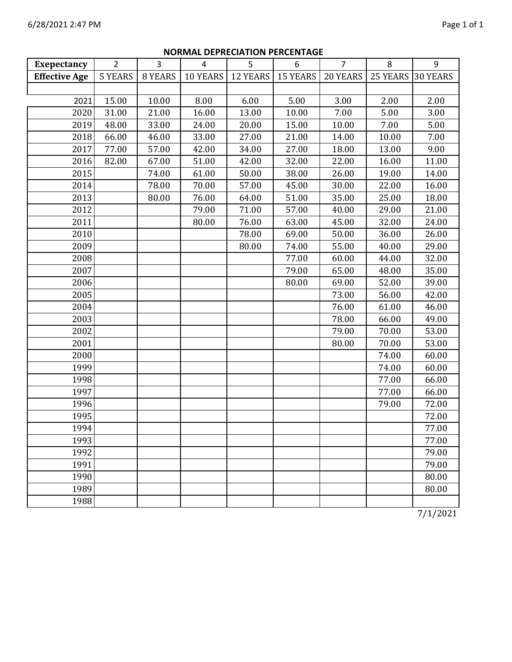| <b>Exepectancy</b>   | $\overline{2}$ | 3       | 4        | PEI RECIATION I ERCENTAGE<br>5 | 6               | $\overline{7}$ | 8        | 9               |
|----------------------|----------------|---------|----------|--------------------------------|-----------------|----------------|----------|-----------------|
| <b>Effective Age</b> | <b>5 YEARS</b> | 8 YEARS | 10 YEARS | <b>12 YEARS</b>                | <b>15 YEARS</b> | 20 YEARS       | 25 YEARS | <b>30 YEARS</b> |
|                      |                |         |          |                                |                 |                |          |                 |
| 2021                 | 15.00          | 10.00   | 8.00     | 6.00                           | 5.00            | 3.00           | 2.00     | 2.00            |
| 2020                 | 31.00          | 21.00   | 16.00    | 13.00                          | 10.00           | 7.00           | 5.00     | 3.00            |
| 2019                 | 48.00          | 33.00   | 24.00    | 20.00                          | 15.00           | 10.00          | 7.00     | 5.00            |
| 2018                 | 66.00          | 46.00   | 33.00    | 27.00                          | 21.00           | 14.00          | 10.00    | 7.00            |
| 2017                 | 77.00          | 57.00   | 42.00    | 34.00                          | 27.00           | 18.00          | 13.00    | 9.00            |
| 2016                 | 82.00          | 67.00   | 51.00    | 42.00                          | 32.00           | 22.00          | 16.00    | 11.00           |
| 2015                 |                | 74.00   | 61.00    | 50.00                          | 38.00           | 26.00          | 19.00    | 14.00           |
| 2014                 |                | 78.00   | 70.00    | 57.00                          | 45.00           | 30.00          | 22.00    | 16.00           |
| 2013                 |                | 80.00   | 76.00    | 64.00                          | 51.00           | 35.00          | 25.00    | 18.00           |
| 2012                 |                |         | 79.00    | 71.00                          | 57.00           | 40.00          | 29.00    | 21.00           |
| 2011                 |                |         | 80.00    | 76.00                          | 63.00           | 45.00          | 32.00    | 24.00           |
| 2010                 |                |         |          | 78.00                          | 69.00           | 50.00          | 36.00    | 26.00           |
| 2009                 |                |         |          | 80.00                          | 74.00           | 55.00          | 40.00    | 29.00           |
| 2008                 |                |         |          |                                | 77.00           | 60.00          | 44.00    | 32.00           |
| 2007                 |                |         |          |                                | 79.00           | 65.00          | 48.00    | 35.00           |
| 2006                 |                |         |          |                                | 80.00           | 69.00          | 52.00    | 39.00           |
| 2005                 |                |         |          |                                |                 | 73.00          | 56.00    | 42.00           |
| 2004                 |                |         |          |                                |                 | 76.00          | 61.00    | 46.00           |
| 2003                 |                |         |          |                                |                 | 78.00          | 66.00    | 49.00           |
| 2002                 |                |         |          |                                |                 | 79.00          | 70.00    | 53.00           |
| 2001                 |                |         |          |                                |                 | 80.00          | 70.00    | 53.00           |
| 2000                 |                |         |          |                                |                 |                | 74.00    | 60.00           |
| 1999                 |                |         |          |                                |                 |                | 74.00    | 60.00           |
| 1998                 |                |         |          |                                |                 |                | 77.00    | 66.00           |
| 1997                 |                |         |          |                                |                 |                | 77.00    | 66.00           |
| 1996                 |                |         |          |                                |                 |                | 79.00    | 72.00           |
| 1995                 |                |         |          |                                |                 |                |          | 72.00           |
| 1994                 |                |         |          |                                |                 |                |          | 77.00           |
| 1993                 |                |         |          |                                |                 |                |          | 77.00           |
| 1992                 |                |         |          |                                |                 |                |          | 79.00           |
| 1991                 |                |         |          |                                |                 |                |          | 79.00           |
| 1990                 |                |         |          |                                |                 |                |          | 80.00           |
| 1989                 |                |         |          |                                |                 |                |          | 80.00           |
| 1988                 |                |         |          |                                |                 |                |          |                 |

# **NORMAL DEPRECIATION PERCENTAGE**

7/1/2021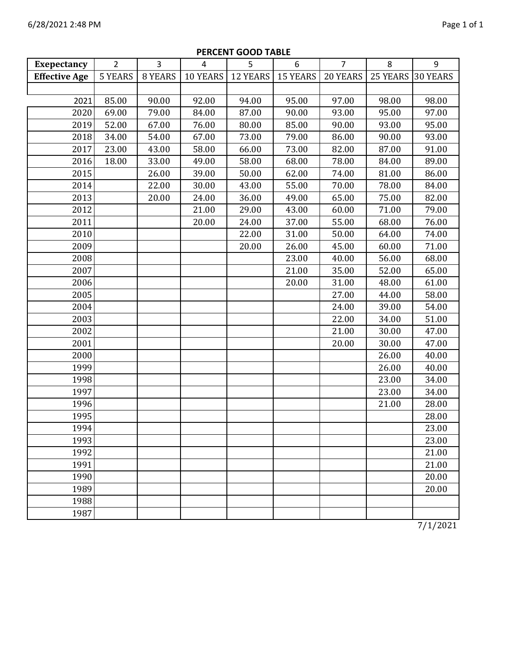| <b>Exepectancy</b>   | $\overline{2}$ | $\overline{3}$ | $\overline{4}$ | 5        | 6               | $\overline{7}$ | 8               | 9               |
|----------------------|----------------|----------------|----------------|----------|-----------------|----------------|-----------------|-----------------|
| <b>Effective Age</b> | <b>5 YEARS</b> | 8 YEARS        | 10 YEARS       | 12 YEARS | <b>15 YEARS</b> | 20 YEARS       | <b>25 YEARS</b> | <b>30 YEARS</b> |
|                      |                |                |                |          |                 |                |                 |                 |
| 2021                 | 85.00          | 90.00          | 92.00          | 94.00    | 95.00           | 97.00          | 98.00           | 98.00           |
| 2020                 | 69.00          | 79.00          | 84.00          | 87.00    | 90.00           | 93.00          | 95.00           | 97.00           |
| 2019                 | 52.00          | 67.00          | 76.00          | 80.00    | 85.00           | 90.00          | 93.00           | 95.00           |
| 2018                 | 34.00          | 54.00          | 67.00          | 73.00    | 79.00           | 86.00          | 90.00           | 93.00           |
| 2017                 | 23.00          | 43.00          | 58.00          | 66.00    | 73.00           | 82.00          | 87.00           | 91.00           |
| 2016                 | 18.00          | 33.00          | 49.00          | 58.00    | 68.00           | 78.00          | 84.00           | 89.00           |
| 2015                 |                | 26.00          | 39.00          | 50.00    | 62.00           | 74.00          | 81.00           | 86.00           |
| 2014                 |                | 22.00          | 30.00          | 43.00    | 55.00           | 70.00          | 78.00           | 84.00           |
| 2013                 |                | 20.00          | 24.00          | 36.00    | 49.00           | 65.00          | 75.00           | 82.00           |
| 2012                 |                |                | 21.00          | 29.00    | 43.00           | 60.00          | 71.00           | 79.00           |
| 2011                 |                |                | 20.00          | 24.00    | 37.00           | 55.00          | 68.00           | 76.00           |
| 2010                 |                |                |                | 22.00    | 31.00           | 50.00          | 64.00           | 74.00           |
| 2009                 |                |                |                | 20.00    | 26.00           | 45.00          | 60.00           | 71.00           |
| 2008                 |                |                |                |          | 23.00           | 40.00          | 56.00           | 68.00           |
| 2007                 |                |                |                |          | 21.00           | 35.00          | 52.00           | 65.00           |
| 2006                 |                |                |                |          | 20.00           | 31.00          | 48.00           | 61.00           |
| 2005                 |                |                |                |          |                 | 27.00          | 44.00           | 58.00           |
| 2004                 |                |                |                |          |                 | 24.00          | 39.00           | 54.00           |
| 2003                 |                |                |                |          |                 | 22.00          | 34.00           | 51.00           |
| 2002                 |                |                |                |          |                 | 21.00          | 30.00           | 47.00           |
| 2001                 |                |                |                |          |                 | 20.00          | 30.00           | 47.00           |
| 2000                 |                |                |                |          |                 |                | 26.00           | 40.00           |
| 1999                 |                |                |                |          |                 |                | 26.00           | 40.00           |
| 1998                 |                |                |                |          |                 |                | 23.00           | 34.00           |
| 1997                 |                |                |                |          |                 |                | 23.00           | 34.00           |
| 1996                 |                |                |                |          |                 |                | 21.00           | 28.00           |
| 1995                 |                |                |                |          |                 |                |                 | 28.00           |
| 1994                 |                |                |                |          |                 |                |                 | 23.00           |
| 1993                 |                |                |                |          |                 |                |                 | 23.00           |
| 1992                 |                |                |                |          |                 |                |                 | 21.00           |
| 1991                 |                |                |                |          |                 |                |                 | 21.00           |
| 1990                 |                |                |                |          |                 |                |                 | 20.00           |
| 1989                 |                |                |                |          |                 |                |                 | 20.00           |
| 1988                 |                |                |                |          |                 |                |                 |                 |
| 1987                 |                |                |                |          |                 |                |                 |                 |

# **PERCENT GOOD TABLE**

7/1/2021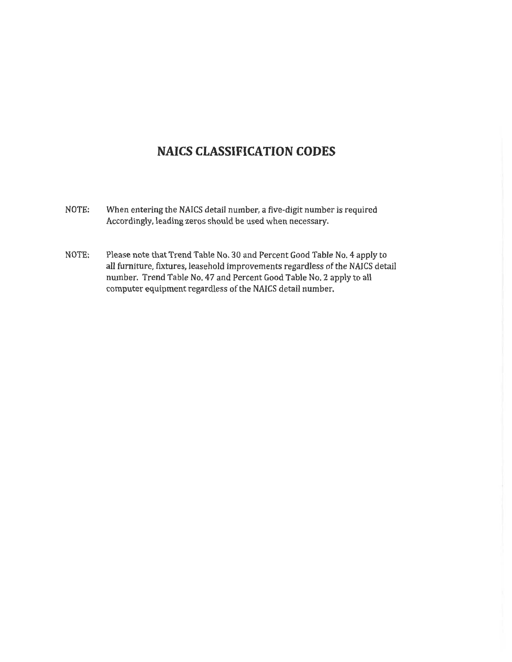# **NAICS CLASSIFICATION CODES**

- When entering the NAICS detail number, a five-digit number is required NOTE: Accordingly, leading zeros should be used when necessary.
- Please note that Trend Table No. 30 and Percent Good Table No. 4 apply to NOTE: all furniture, fixtures, leasehold improvements regardless of the NAICS detail number. Trend Table No. 47 and Percent Good Table No. 2 apply to all computer equipment regardless of the NAICS detail number.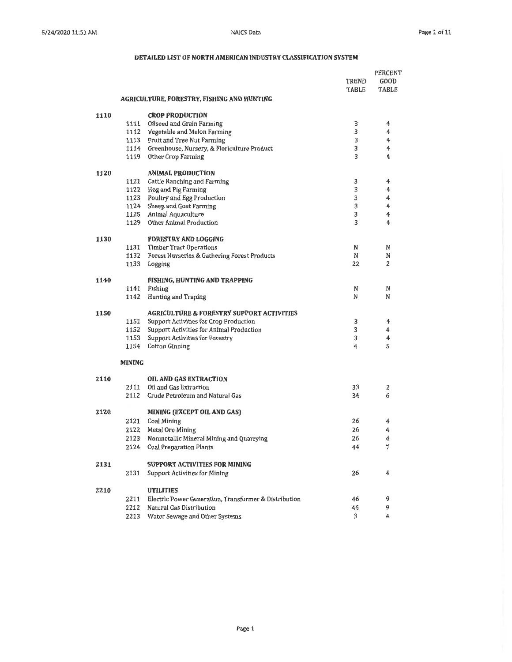|      |               | AGRICULTURE, FORESTRY, FISHING AND HUNTING            | TREND<br>TABLE | PERCENT<br>GOOD<br>TABLE |
|------|---------------|-------------------------------------------------------|----------------|--------------------------|
| 1110 |               | <b>CROP PRODUCTION</b>                                |                |                          |
|      | 1111          | Oilseed and Grain Farming                             | 3              | 4                        |
|      |               | 1112 Vegetable and Melon Farming                      | 3              | 4                        |
|      |               | 1113 Fruit and Tree Nut Farming                       | 3              | 4                        |
|      |               | 1114 Greenhouse, Nursery, & Floriculture Product      | 3              | 4                        |
|      | 1119          | Other Crop Farming                                    | 3              | 4                        |
| 1120 |               | <b>ANIMAL PRODUCTION</b>                              |                |                          |
|      | 1121          | Cattle Ranching and Farming                           | 3              | 4                        |
|      |               | 1122 Hog and Pig Farming                              | 3              | 4                        |
|      |               | 1123 Poultry and Egg Production                       | 3              | 4                        |
|      |               | 1124 Sheep and Goat Farming                           | 3              | 4                        |
|      |               | 1125 Animal Aquaculture                               | 3              | 4                        |
|      | 1129          | Other Animal Production                               | 3              | 4                        |
| 1130 |               | <b>FORESTRY AND LOGGING</b>                           |                |                          |
|      |               | 1131 Timber Tract Operations                          | N              | N                        |
|      | 1132          | Forest Nurseries & Gathering Forest Products          | N              | N                        |
|      | 1133          | Logging                                               | 22             | 2                        |
| 1140 |               | FISHING, HUNTING AND TRAPPING                         |                |                          |
|      | 1141          | Fishing<br><b>Hunting and Traping</b>                 | N<br>N         | N<br>N                   |
|      | 1142          |                                                       |                |                          |
| 1150 |               | <b>AGRICULTURE &amp; FORESTRY SUPPORT ACTIVITIES</b>  |                |                          |
|      | 1151          | Support Activities for Crop Production                | 3              | 4                        |
|      | 1152          | Support Activities for Animal Production              | 3              | 4                        |
|      | 1153          | <b>Support Activities for Forestry</b>                | 3              | 4                        |
|      | 1154          | <b>Cotton Ginning</b>                                 | 4              | 5                        |
|      | <b>MINING</b> |                                                       |                |                          |
| 2110 |               | <b>OIL AND GAS EXTRACTION</b>                         |                |                          |
|      | 2111          | Oil and Gas Extraction                                | 33             | 2                        |
|      | 2112          | Crude Petroleum and Natural Gas                       | 34             | 6                        |
| 2120 |               | MINING (EXCEPT OIL AND GAS)                           |                |                          |
|      | 2121          | Coal Mining                                           | 26             | 4                        |
|      | 2122          | Metal Ore Mining                                      | 26             | 4                        |
|      | 2123          | Nonmetallic Mineral Mining and Quarrying              | 26             | 4                        |
|      | 2124          | <b>Coal Preparation Plants</b>                        | 44             | 7                        |
| 2131 |               | <b>SUPPORT ACTIVITIES FOR MINING</b>                  |                |                          |
|      | 2131          | <b>Support Activities for Mining</b>                  | 26             | 4                        |
| 2210 |               | <b>UTILITIES</b>                                      |                |                          |
|      | 2211          | Electric Power Generation, Transformer & Distribution | 46             | 9                        |
|      | 2212          | Natural Gas Distribution                              | 46             | 9                        |
|      |               | 2213 Water Sewage and Other Systems                   | 3              | 4                        |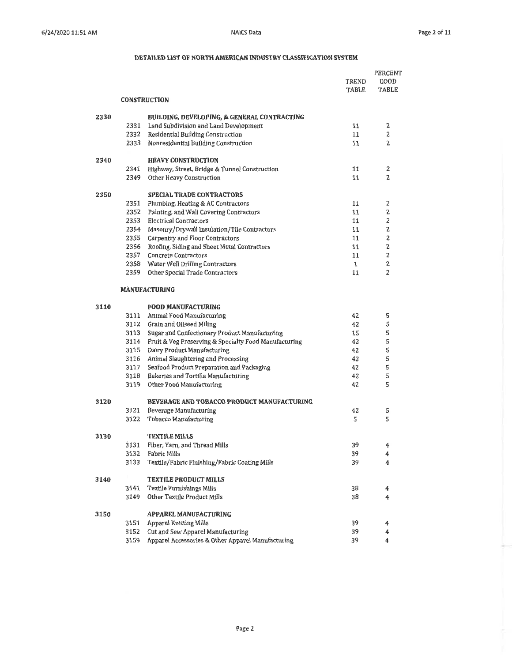|      |      |                                                       |              | PERCENT |
|------|------|-------------------------------------------------------|--------------|---------|
|      |      |                                                       | TREND        | GOOD    |
|      |      |                                                       | TABLE        | TABLE   |
|      |      | <b>CONSTRUCTION</b>                                   |              |         |
| 2330 |      | BUILDING, DEVELOPING, & GENERAL CONTRACTING           |              |         |
|      | 2331 | Land Subdivision and Land Development                 | 11           | 2       |
|      | 2332 | Residential Building Construction                     | 11           | 2       |
|      | 2333 | Nonresidential Building Construction                  | 11           | 2       |
| 2340 |      | <b>HEAVY CONSTRUCTION</b>                             |              |         |
|      | 2341 | Highway, Street, Bridge & Tunnel Construction         | 11           | 2       |
|      | 2349 | Other Heavy Construction                              | 11           | 2       |
| 2350 |      | <b>SPECIAL TRADE CONTRACTORS</b>                      |              |         |
|      | 2351 | Plumbing, Heating & AC Contractors                    | 11           | 2       |
|      | 2352 | Painting, and Wall Covering Contractors               | 11           | 2       |
|      | 2353 | <b>Electrical Contractors</b>                         | 11           | 2       |
|      | 2354 | Masonry/Drywall Insulation/Tile Contractors           | 11           | 2       |
|      | 2355 | Carpentry and Floor Contractors                       | 11           | 2       |
|      | 2356 | Roofing, Siding and Sheet Metal Contractors           | 11           | 2       |
|      | 2357 | <b>Concrete Contractors</b>                           | 11           | 2       |
|      | 2358 | Water Well Drilling Contractors                       | $\mathbf{1}$ | 2       |
|      | 2359 | Other Special Trade Contractors                       | 11           | 2       |
|      |      | <b>MANUFACTURING</b>                                  |              |         |
| 3110 |      | <b>FOOD MANUFACTURING</b>                             |              |         |
|      | 3111 | Animal Food Manufacturing                             | 42           | 5       |
|      | 3112 | Grain and Oilseed Miling                              | 42           | 5       |
|      | 3113 | Sugar and Confectionary Product Manufacturing         | 15           | 5       |
|      | 3114 | Fruit & Veg Preserving & Specialty Food Manufacturing | 42           | 5       |
|      | 3115 | Dairy Product Manufacturing                           | 42           | 5       |
|      | 3116 | Animal Slaughtering and Processing                    | 42           | 5       |
|      | 3117 | Seafood Product Preparation and Packaging             | 42           | 5       |
|      | 3118 | Bakeries and Tortilla Manufacturing                   | 42           | 5       |
|      | 3119 | Other Food Manufacturing                              | 42           | 5       |
| 3120 |      | <b>BEVERAGE AND TOBACCO PRODUCT MANUFACTURING</b>     |              |         |
|      | 3121 | Beverage Manufacturing                                | 42           | 5       |
|      | 3122 | Tobacco Manufacturing                                 | 5            | 5       |
| 3130 |      | <b>TEXTILE MILLS</b>                                  |              |         |
|      | 3131 | Fiber, Yarn, and Thread Mills                         | 39           | 4       |
|      | 3132 | <b>Fabric Mills</b>                                   | 39           | 4       |
|      | 3133 | Textile/Fabric Finishing/Fabric Coating Mills         | 39           | 4       |
| 3140 |      | <b>TEXTILE PRODUCT MILLS</b>                          |              |         |
|      | 3141 | Textile Furnishings Mills                             | 38           | 4       |
|      | 3149 | Other Textile Product Mills                           | 38           | 4       |
| 3150 |      | APPAREL MANUFACTURING                                 |              |         |
|      | 3151 | Apparel Knitting Mills                                | 39           | 4       |
|      | 3152 | Cut and Sew Apparel Manufacturing                     | 39           | 4       |
|      | 3159 | Apparel Accessories & Other Apparel Manufacturing     | 39           | 4       |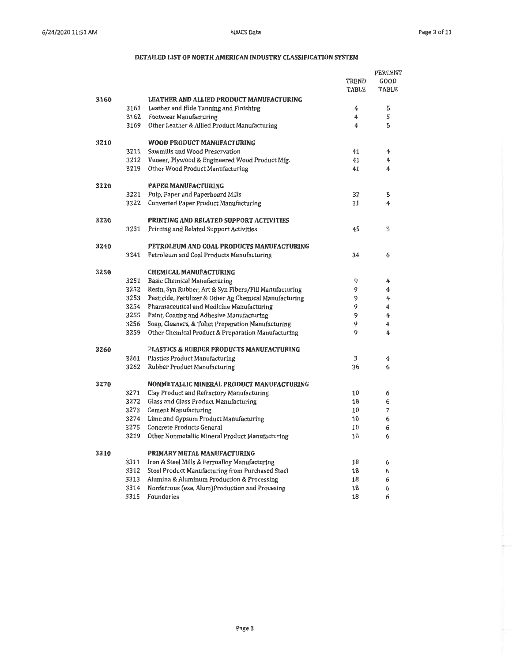|      |      |                                                         |          | <b>PERCENT</b> |
|------|------|---------------------------------------------------------|----------|----------------|
|      |      |                                                         | TREND    | GOOD           |
|      |      |                                                         | TABLE    | <b>TABLE</b>   |
| 3160 |      | <b>LEATHER AND ALLIED PRODUCT MANUFACTURING</b>         |          |                |
|      | 3161 | Leather and Hide Tanning and Finishing                  | 4        | 5              |
|      |      | 3162 Footwear Manufacturing                             | 4        | 5              |
|      | 3169 | Other Leather & Allied Product Manufacturing            | 4        | 5              |
|      |      |                                                         |          |                |
| 3210 |      | WOOD PRODUCT MANUFACTURING                              |          |                |
|      | 3211 | Sawmills and Wood Preservation                          | 41       | 4              |
|      | 3212 | Veneer, Plywood & Engineered Wood Product Mfg.          | 41       | 4              |
|      | 3219 | Other Wood Product Manufacturing                        | 41       | 4              |
|      |      |                                                         |          |                |
| 3220 |      | <b>PAPER MANUFACTURING</b>                              |          |                |
|      | 3221 | Pulp, Paper and Paperboard Mills                        | 32       | 5              |
|      | 3222 | Converted Paper Product Manufacturing                   | 31       | 4              |
|      |      |                                                         |          |                |
| 3230 |      | PRINTING AND RELATED SUPPORT ACTIVITIES                 |          |                |
|      | 3231 | Printing and Related Support Activities                 | 45       | 5              |
|      |      |                                                         |          |                |
| 3240 |      | PETROLEUM AND COAL PRODUCTS MANUFACTURING               |          |                |
|      | 3241 | Petroleum and Coal Products Manufacturing               | 34       | 6              |
|      |      |                                                         |          |                |
| 3250 |      | <b>CHEMICAL MANUFACTURING</b>                           |          |                |
|      | 3251 | Basic Chemical Manufacturing                            | 9        | 4              |
|      | 3252 | Resin, Syn Rubber, Art & Syn Fibers/Fill Manufacturing  | 9        | 4              |
|      | 3253 | Pesticide, Fertilizer & Other Ag Chemical Manufacturing | 9        | 4              |
|      | 3254 | Pharmaceutical and Medicine Manufacturing               | 9        | 4              |
|      | 3255 | Paint, Coating and Adhesive Manufacturing               | 9        | 4              |
|      | 3256 | Soap, Cleaners, & Toliet Preparation Manufacturing      | 9        | 4              |
|      | 3259 | Other Chemical Product & Preparation Manufacturing      | 9        | 4              |
|      |      |                                                         |          |                |
| 3260 |      | PLASTICS & RUBBER PRODUCTS MANUFACTURING                |          |                |
|      | 3261 | <b>Plastics Product Manufacturing</b>                   | 3        | 4              |
|      | 3262 | Rubber Product Manufacturing                            | 36       | 6              |
|      |      |                                                         |          |                |
| 3270 |      | NONMETALLIC MINERAL PRODUCT MANUFACTURING               |          |                |
|      | 3271 | Clay Product and Refractory Manufacturing               | 10       | 6              |
|      | 3272 | Glass and Glass Product Manufacturing                   | 18       | 6              |
|      | 3273 | Cement Manufacturing                                    | 10       | 7              |
|      | 3274 | Lime and Gypsum Product Manufacturing                   | 10       | 6              |
|      | 3275 | Concrete Products General                               | 10       | 6              |
|      | 3219 | Other Nonmetallic Mineral Product Manufacturing         | 10       | 6              |
|      |      |                                                         |          |                |
| 3310 |      | PRIMARY METAL MANUFACTURING                             |          |                |
|      | 3311 | Iron & Steel Mills & Ferroalloy Manufacturing           | 18       | 6              |
|      | 3312 | Steel Product Manufacturing from Purchased Steel        | 18       | 6              |
|      | 3313 | Alumina & Aluminum Production & Processing              | 18       | 6              |
|      | 3314 | Nonferrous (exe. Alum)Production and Procesing          | 18<br>18 | 6              |
|      | 3315 | Foundaries                                              |          | 6              |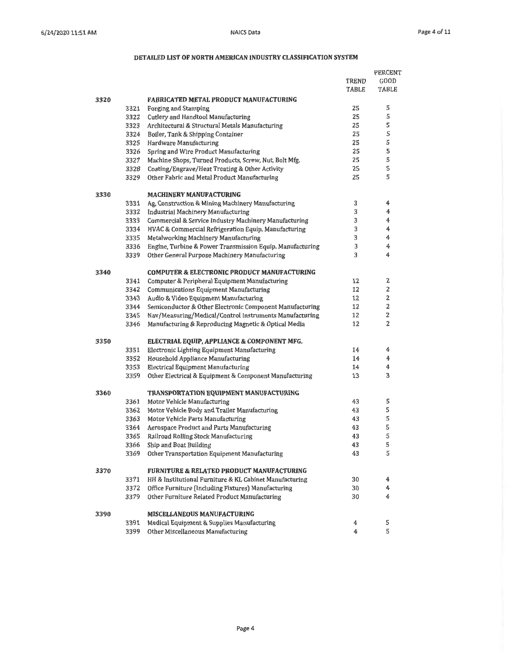PERCENT

|      |      |                                                           | TREND        | GOOD         |
|------|------|-----------------------------------------------------------|--------------|--------------|
|      |      |                                                           | <b>TABLE</b> | <b>TABLE</b> |
| 3320 |      | <b>FABRICATED METAL PRODUCT MANUFACTURING</b>             |              |              |
|      | 3321 | Forging and Stamping                                      | 25           | 5            |
|      | 3322 | Cutlery and Handtool Manufacturing                        | 25           | 5            |
|      | 3323 | Architectural & Structural Metals Manufacturing           | 25           | 5            |
|      | 3324 | Boiler, Tank & Shipping Container                         | 25           | 5            |
|      | 3325 | Hardware Manufacturing                                    | 25           | 5            |
|      | 3326 | Spring and Wire Product Manufacturing                     | 25           | 5            |
|      | 3327 | Machine Shops, Turned Products, Screw, Nut, Bolt Mfg.     | 25           | 5            |
|      | 3328 | Coating/Engrave/Heat Treating & Other Activity            | 25           | 5            |
|      | 3329 | Other Fabric and Metal Product Manufacturing              | 25           | 5            |
| 3330 |      | <b>MACHINERY MANUFACTURING</b>                            |              |              |
|      | 3331 | Ag, Construction & Mining Machinery Manufacturing         | 3            | 4            |
|      | 3332 | Industrial Machinery Manufacturing                        | 3            | 4            |
|      | 3333 | Commercial & Service Industry Machinery Manufacturing     | 3            | 4            |
|      | 3334 | HVAC & Commercial Refrigeration Equip. Manufacturing      | 3            | 4            |
|      | 3335 | Metalworking Machinery Manufacturing                      | 3            | 4            |
|      | 3336 | Engine, Turbine & Power Transmission Equip. Manufacturing | 3            | 4            |
|      | 3339 | Other General Purpose Machinery Manufacturing             | 3            | 4            |
| 3340 |      | <b>COMPUTER &amp; ELECTRONIC PRODUCT MANUFACTURING</b>    |              |              |
|      | 3341 | Computer & Peripheral Equipment Manufacturing             | 12           | 2            |
|      | 3342 | Communications Equipment Manufacturing                    | 12           | 2            |
|      | 3343 | Audio & Video Equipment Manufacturing                     | 12           | 2            |
|      | 3344 | Semiconductor & Other Electronic Component Manufacturing  | 12           | 2            |
|      | 3345 | Nav/Measuring/Medical/Control Instruments Manufacturing   | 12           | 2            |
|      | 3346 | Manufacturing & Reproducing Magnetic & Optical Media      | 12           | 2            |
| 3350 |      | ELECTRIAL EQUIP, APPLIANCE & COMPONENT MFG.               |              |              |
|      | 3351 | Electronic Lighting Equipment Manufacturing               | 14           | 4            |
|      | 3352 | Household Appliance Manufacturing                         | 14           | 4            |
|      | 3353 | Electrical Equipment Manufacturing                        | 14           | 4            |
|      | 3359 | Other Electrical & Equipment & Component Manufacturing    | 13           | 3            |
| 3360 |      | TRANSPORTATION EQUIPMENT MANUFACTURING                    |              |              |
|      | 3361 | Motor Vehicle Manufacturing                               | 43           | 5            |
|      | 3362 | Motor Vehicle Body and Trailer Manufacturing              | 43           | 5            |
|      | 3363 | Motor Vehicle Parts Manufacturing                         | 43           | 5            |
|      | 3364 | Aerospace Product and Parts Manufacturing                 | 43           | 5            |
|      | 3365 | Railroad Rolling Stock Manufacturing                      | 43           | 5            |
|      | 3366 | Ship and Boat Building                                    | 43           | 5            |
|      |      | 3369 Other Transportation Equipment Manufacturing         | 43           | 5            |
| 3370 |      | <b>FURNITURE &amp; RELATED PRODUCT MANUFACTURING</b>      |              |              |
|      | 3371 | HH & Institutional Furniture & KL Cabinet Manufacturing   | 30           | 4            |
|      | 3372 | Office Furniture (Including Fixtures) Manufacturing       | 30           | 4            |
|      | 3379 | Other Furniture Related Product Manufacturing             | 30           | 4            |
| 3390 |      | MISCELLANEOUS MANUFACTURING                               |              |              |
|      | 3391 | Medical Equipment & Supplies Manufacturing                | 4            | 5            |
|      | 3399 | Other Miscellaneous Manufacturing                         | 4            | 5            |
|      |      |                                                           |              |              |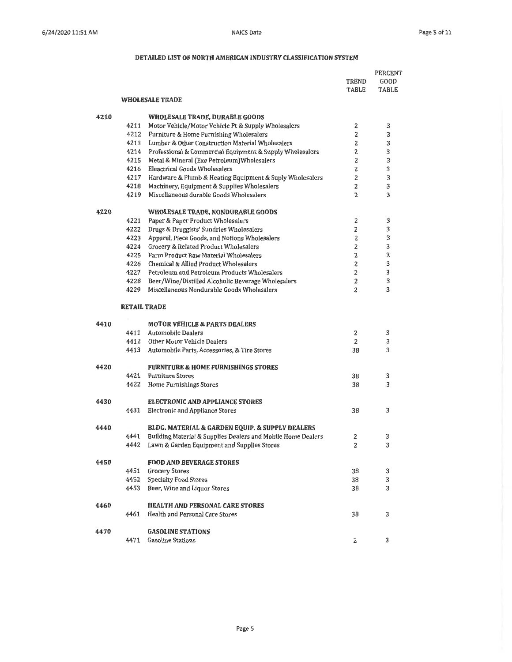|      |      |                                                              | PERCENT        |               |
|------|------|--------------------------------------------------------------|----------------|---------------|
|      |      |                                                              | TREND<br>TABLE | GOOD<br>TABLE |
|      |      | <b>WHOLESALE TRADE</b>                                       |                |               |
| 4210 |      | WHOLESALE TRADE, DURABLE GOODS                               |                |               |
|      | 4211 | Motor Vehicle/Motor Vehicle Pt & Supply Wholesalers          | 2              | 3             |
|      | 4212 | Furniture & Home Furnishing Wholesalers                      | 2              | 3             |
|      | 4213 | Lumber & Other Construction Material Wholesalers             | 2              | 3             |
|      | 4214 | Professional & Commercial Equipment & Supply Wholesalers     | $\overline{2}$ | 3             |
|      | 4215 | Metal & Mineral (Exe Petroleum) Wholesalers                  | $\overline{2}$ | 3             |
|      | 4216 | <b>Eleactrical Goods Wholesalers</b>                         | 2              | 3             |
|      | 4217 | Hardware & Plumb & Heating Equipment & Suply Wholesalers     | $\overline{2}$ | 3             |
|      | 4218 | Machinery, Equipment & Supplies Wholesalers                  | 2              | 3             |
|      | 4219 | Miscellaneous durable Goods Wholesalers                      | 2              | 3             |
| 4220 |      | WHOLESALE TRADE, NONDURABLE GOODS                            |                |               |
|      | 4221 | Paper & Paper Product Wholesalers                            | 2              | 3             |
|      | 4222 | Drugs & Druggists' Sundries Wholesalers                      | 2              | 3             |
|      | 4223 | Apparel, Piece Goods, and Notions Wholesalers                | $\overline{2}$ | 3             |
|      | 4224 | Grocery & Related Product Wholesalers                        | 2              | 3             |
|      | 4225 | Farm Product Raw Material Wholesalers                        | 2              | 3             |
|      | 4226 | Chemical & Allied Product Wholesalers                        | 2              | 3             |
|      | 4227 | Petroleum and Petroleum Products Wholesalers                 | 2              | 3             |
|      | 4228 | Beer/Wine/Distilled Alcoholic Beverage Wholesalers           | 2<br>2         | 3<br>3        |
|      | 4229 | Miscellaneous Nondurable Goods Wholesalers                   |                |               |
|      |      | <b>RETAIL TRADE</b>                                          |                |               |
| 4410 |      | <b>MOTOR VEHICLE &amp; PARTS DEALERS</b>                     |                |               |
|      | 4411 | <b>Automobile Dealers</b>                                    | 2              | 3             |
|      | 4412 | Other Motor Vehicle Dealers                                  | 2              | 3             |
|      | 4413 | Automobile Parts, Accessories, & Tire Stores                 | 38             | 3             |
| 4420 |      | <b>FURNITURE &amp; HOME FURNISHINGS STORES</b>               |                |               |
|      | 4421 | <b>Furniture Stores</b>                                      | 38             | 3             |
|      | 4422 | Home Furnishings Stores                                      | 38             | 3             |
| 4430 |      | <b>ELECTRONIC AND APPLIANCE STORES</b>                       |                |               |
|      | 4431 | Electronic and Appliance Stores                              | 38             | 3             |
| 4440 |      | BLDG, MATERIAL & GARDEN EQUIP. & SUPPLY DEALERS              |                |               |
|      | 4441 | Building Material & Supplies Dealers and Mobile Home Dealers | 2              | 3             |
|      | 4442 | Lawn & Garden Equipment and Supplies Stores                  | 2              | 3             |
| 4450 |      | <b>FOOD AND BEVERAGE STORES</b>                              |                |               |
|      | 4451 | <b>Grocery Stores</b>                                        | 38             | 3             |
|      | 4452 | <b>Specialty Food Stores</b>                                 | 38             | 3             |
|      | 4453 | Beer, Wine and Liquor Stores                                 | 38             | 3             |
| 4460 |      | <b>HEALTH AND PERSONAL CARE STORES</b>                       |                |               |
|      | 4461 | Health and Personal Care Stores                              | 38             | 3             |
| 4470 |      | <b>GASOLINE STATIONS</b>                                     |                |               |
|      | 4471 | <b>Gasoline Stations</b>                                     | 2              | 3             |
|      |      |                                                              |                |               |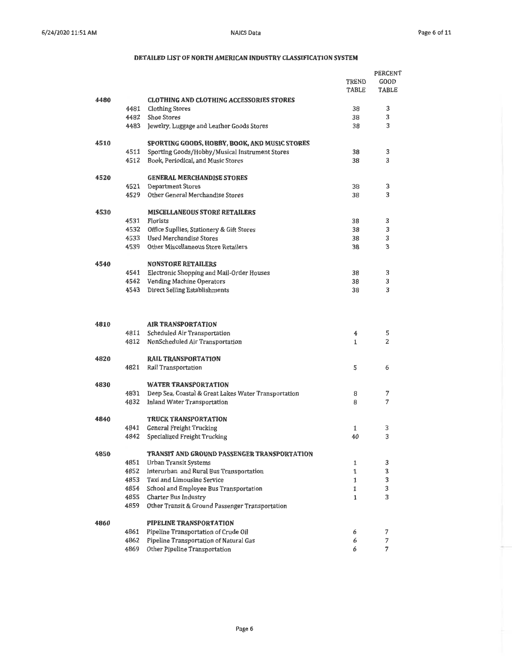|      |      |                                                      |              | <b>PERCENT</b> |
|------|------|------------------------------------------------------|--------------|----------------|
|      |      |                                                      | TREND        | GOOD           |
|      |      |                                                      | TABLE        | TABLE          |
| 4480 |      | <b>CLOTHING AND CLOTHING ACCESSORIES STORES</b>      |              |                |
|      | 4481 | <b>Clothing Stores</b>                               | 38           | 3              |
|      | 4482 | <b>Shoe Stores</b>                                   | 38           | 3              |
|      | 4483 | Jewelry, Luggage and Leather Goods Stores            | 38           | 3              |
| 4510 |      | SPORTING GOODS, HOBBY, BOOK, AND MUSIC STORES        |              |                |
|      | 4511 | Sporting Goods/Hobby/Musical Instrument Stores       | 38           | 3              |
|      | 4512 | Book, Periodical, and Music Stores                   | 38           | 3              |
| 4520 |      | <b>GENERAL MERCHANDISE STORES</b>                    |              |                |
|      | 4521 | <b>Department Stores</b>                             | 38           | 3              |
|      | 4529 | Other General Merchandise Stores                     | 38           | 3              |
| 4530 |      | <b>MISCELLANEOUS STORE RETAILERS</b>                 |              |                |
|      | 4531 | Florists                                             | 38           | 3              |
|      | 4532 | Office Supllies, Stationery & Gift Stores            | 38           | 3              |
|      | 4533 | <b>Used Merchandise Stores</b>                       | 38           | 3              |
|      | 4539 | Other Miscellaneous Store Retailers                  | 38           | 3              |
| 4540 |      | <b>NONSTORE RETAILERS</b>                            |              |                |
|      |      | 4541 Electronic Shopping and Mail-Order Houses       | 38           | 3              |
|      |      | 4542 Vending Machine Operators                       | 38           | 3              |
|      | 4543 | Direct Selling Establishments                        | 38           | 3              |
|      |      |                                                      |              |                |
| 4810 |      | <b>AIR TRANSPORTATION</b>                            |              |                |
|      | 4811 | Scheduled Air Transportation                         | 4            | 5              |
|      | 4812 | NonScheduled Air Transportation                      | $\mathbf{1}$ | 2              |
| 4820 |      | <b>RAIL TRANSPORTATION</b>                           |              |                |
|      | 4821 | Rail Transportation                                  | 5            | 6              |
| 4830 |      | <b>WATER TRANSPORTATION</b>                          |              |                |
|      | 4831 | Deep Sea, Coastal & Great Lakes Water Transportation | 8            | 7              |
|      | 4832 | <b>Inland Water Transportation</b>                   | 8            | 7              |
| 4840 |      | <b>TRUCK TRANSPORTATION</b>                          |              |                |
|      | 4841 | General Freight Trucking                             | 1            | 3              |
|      | 4842 | Specialized Freight Trucking                         | 40           | 3              |
| 4850 |      | TRANSIT AND GROUND PASSENGER TRANSPORTATION          |              |                |
|      | 4851 | Urban Transit Systems                                | 1            | 3              |
|      | 4852 | Interurban and Rural Bus Transportation              | 1            | 3              |
|      | 4853 | Taxi and Limousine Service                           | 1            | 3              |
|      | 4854 | School and Employee Bus Transportation               | 1            | 3              |
|      | 4855 | Charter Bus Industry                                 | 1            | 3              |
|      | 4859 | Other Transit & Ground Passenger Transportation      |              |                |
| 4860 |      | PIPELINE TRANSPORTATION                              |              |                |
|      | 4861 | Pipeline Transportation of Crude Oil                 | 6            | 7              |
|      | 4862 | Pipeline Transportation of Natural Gas               | 6            | 7              |
|      | 4869 | Other Pipeline Transportation                        | 6            | 7              |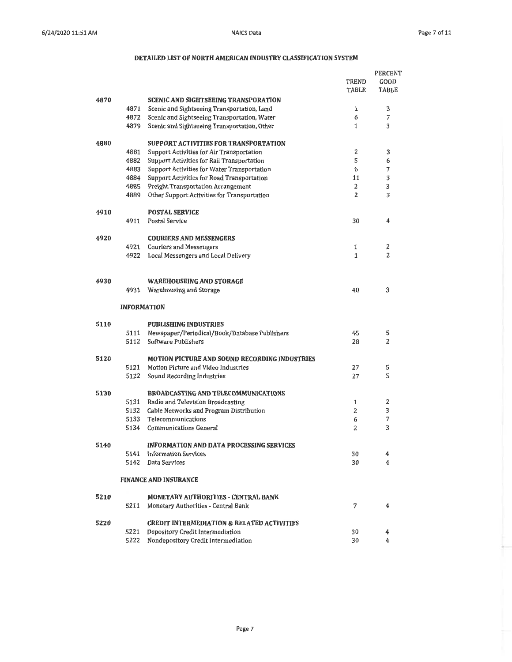PERCENT

|      |                    |                                                       | TREND        | GOOD           |
|------|--------------------|-------------------------------------------------------|--------------|----------------|
|      |                    |                                                       | TABLE        | <b>TABLE</b>   |
| 4870 |                    | <b>SCENIC AND SIGHTSEEING TRANSPORATION</b>           |              |                |
|      | 4871               | Scenic and Sightseeing Transportation, Land           | 1            | 3              |
|      | 4872               | Scenic and Sightseeing Transportation, Water          | 6            | 7              |
|      | 4879               | Scenic and Sightseeing Transportation, Other          | $\mathbf{1}$ | 3              |
| 4880 |                    | SUPPORT ACTIVITIES FOR TRANSPORTATION                 |              |                |
|      | 4881               | Support Activities for Air Transportation             | 2            | 3              |
|      | 4882               | Support Activities for Rail Transportation            | 5            | 6              |
|      | 4883               | Support Activities for Water Transportation           | 6            | 7              |
|      | 4884               | Support Activities for Road Transportation            | 11           | 3              |
|      | 4885               | <b>Freight Transportation Arrangement</b>             | 2            | 3              |
|      | 4889               | Other Support Activities for Transportation           | 2            | 3              |
| 4910 |                    | <b>POSTAL SERVICE</b>                                 |              |                |
|      | 4911               | Postal Service                                        | 30           | 4              |
| 4920 |                    | <b>COURIERS AND MESSENGERS</b>                        |              |                |
|      | 4921               | <b>Couriers and Messengers</b>                        | 1            | 2              |
|      | 4922               | Local Messengers and Local Delivery                   | 1            | $\overline{c}$ |
|      |                    |                                                       |              |                |
| 4930 |                    | WAREHOUSEING AND STORAGE                              |              |                |
|      | 4931               | Warehousing and Storage                               | 40           | 3              |
|      | <b>INFORMATION</b> |                                                       |              |                |
| 5110 |                    | <b>PUBLISHING INDUSTRIES</b>                          |              |                |
|      | 5111               | Newspaper/Periodical/Book/Database Publishers         | 45           | 5              |
|      | 5112               | Software Publishers                                   | 28           | 2              |
| 5120 |                    | <b>MOTION PICTURE AND SOUND RECORDING INDUSTRIES</b>  |              |                |
|      | 5121               | Motion Picture and Video Industries                   | 27           | 5              |
|      | 5122               | Sound Recording Industries                            | 27           | 5              |
| 5130 |                    | <b>BROADCASTING AND TELECOMMUNICATIONS</b>            |              |                |
|      | 5131               | Radio and Television Broadcasting                     | 1            | 2              |
|      | 5132               | Cable Networks and Program Distribution               | 2            | 3              |
|      | 5133               | Telecommunications                                    | 6            | 7              |
|      | 5134               | <b>Communications General</b>                         | 2            | 3              |
| 5140 |                    | <b>INFORMATION AND DATA PROCESSING SERVICES</b>       |              |                |
|      | 5141               | Information Services                                  | 30           | 4              |
|      | 5142               | Data Services                                         | 30           | 4              |
|      |                    | <b>FINANCE AND INSURANCE</b>                          |              |                |
| 5210 |                    | <b>MONETARY AUTHORITIES - CENTRAL BANK</b>            |              |                |
|      | 5211               | Monetary Authorities - Central Bank                   | 7            | 4              |
| 5220 |                    | <b>CREDIT INTERMEDIATION &amp; RELATED ACTIVITIES</b> |              |                |
|      | 5221               | Depository Credit Intermediation                      | 30           | 4              |
|      | 5222               | Nondepository Credit Intermediation                   | 30           | 4              |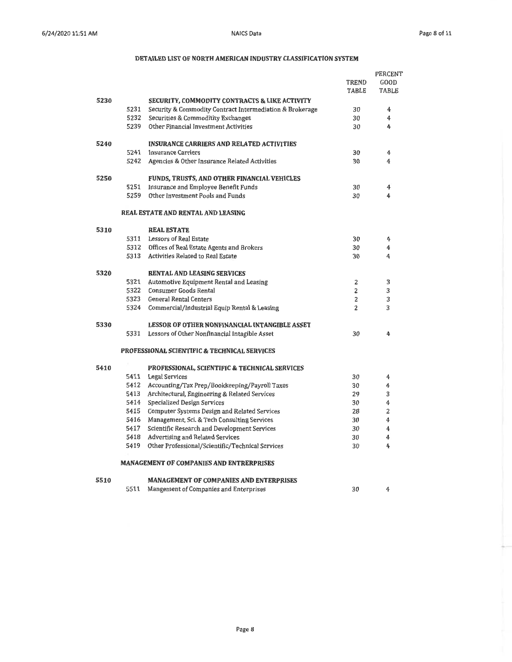|      |      |                                                          | PERCENT        |       |
|------|------|----------------------------------------------------------|----------------|-------|
|      |      |                                                          | TREND          | GOOD  |
|      |      |                                                          | TABLE          | TABLE |
| 5230 |      | SECURITY, COMMODITY CONTRACTS & LIKE ACTIVITY            |                |       |
|      | 5231 | Security & Commodity Contract Intermediation & Brokerage | 30             | 4     |
|      | 5232 | Securities & Commoditity Exchanges                       | 30             | 4     |
|      | 5239 | Other Financial Investment Activities                    | 30             | 4     |
|      |      |                                                          |                |       |
| 5240 |      | <b>INSURANCE CARRIERS AND RELATED ACTIVITIES</b>         |                |       |
|      | 5241 | Insurance Carriers                                       | 30             | 4     |
|      | 5242 | Agencies & Other Insurance Related Activities            | 30             | 4     |
| 5250 |      | FUNDS, TRUSTS, AND OTHER FINANCIAL VEHICLES              |                |       |
|      | 5251 | Insurance and Employee Benefit Funds                     | 30             | 4     |
|      | 5259 | Other Investment Pools and Funds                         | 30             | 4     |
|      |      | <b>REAL ESTATE AND RENTAL AND LEASING</b>                |                |       |
| 5310 |      | <b>REAL ESTATE</b>                                       |                |       |
|      |      | 5311 Lessors of Real Estate                              | 30             | 4     |
|      |      | 5312 Offices of Real Estate Agents and Brokers           | 30             | 4     |
|      |      | 5313 Activities Related to Real Estate                   | 30             | 4     |
| 5320 |      | <b>RENTAL AND LEASING SERVICES</b>                       |                |       |
|      | 5321 | Automotive Equipment Rental and Leasing                  | 2              | 3     |
|      |      | 5322 Consumer Goods Rental                               | 2              | 3     |
|      |      | 5323 General Rental Centers                              | 2              | 3     |
|      | 5324 | Commercial/Industrial Equip Rental & Leasing             | $\overline{2}$ | 3     |
| 5330 |      | LESSOR OF OTHER NONFINANCIAL INTANGIBLE ASSET            |                |       |
|      | 5331 | Lessors of Other Nonfinancial Intagible Asset            | 30             | 4     |
|      |      | PROFESSIONAL SCIENTIFIC & TECHNICAL SERVICES             |                |       |
| 5410 |      | PROFESSIONAL, SCIENTIFIC & TECHNICAL SERVICES            |                |       |
|      | 5411 | <b>Legal Services</b>                                    | 30             | 4     |
|      | 5412 | Accounting/Tax Prep/Bookkeeping/Payroll Taxes            | 30             | 4     |
|      | 5413 | Architectural, Engineering & Related Services            | 29             | 3     |
|      | 5414 | Specialized Design Services                              | 30             | 4     |
|      | 5415 | Computer Systems Design and Related Services             | 28             | 2     |
|      | 5416 | Management, Sci. & Tech Consulting Services              | 30             | 4     |
|      | 5417 | Scientific Research and Development Services             | 30             | 4     |
|      | 5418 | Advertising and Related Services                         | 30             | 4     |
|      | 5419 | Other Professional/Scientific/Technical Services         | 30             | 4     |
|      |      | <b>MANAGEMENT OF COMPANIES AND ENTRERPRISES</b>          |                |       |
| 5510 |      | <b>MANAGEMENT OF COMPANIES AND ENTERPRISES</b>           |                |       |
|      | 5511 | Mangement of Companies and Enterprises                   | 30             | 4     |
|      |      |                                                          |                |       |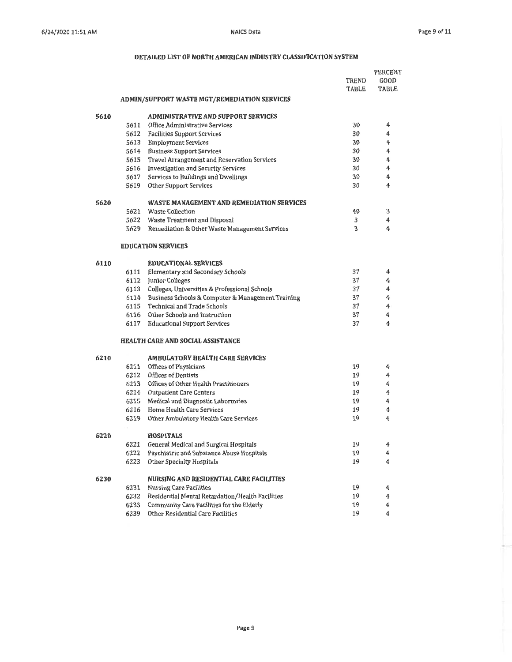|      |      |                                                        |       | <b>PERCENT</b> |
|------|------|--------------------------------------------------------|-------|----------------|
|      |      |                                                        | TREND | GOOD           |
|      |      |                                                        | TABLE | <b>TABLE</b>   |
|      |      | ADMIN/SUPPORT WASTE MGT/REMEDIATION SERVICES           |       |                |
| 5610 |      | <b>ADMINISTRATIVE AND SUPPORT SERVICES</b>             |       |                |
|      |      | 5611 Office Administrative Services                    | 30    | 4              |
|      |      | 5612 Facilities Support Services                       | 30    | 4              |
|      |      | 5613 Employment Services                               | 30    | 4              |
|      |      | 5614 Business Support Services                         | 30    | 4              |
|      |      | 5615 Travel Arrangement and Reservation Services       | 30    | 4              |
|      |      | 5616 Investigation and Security Services               | 30    | 4              |
|      |      | 5617 Services to Buildings and Dwellings               | 30    | 4              |
|      |      | 5619 Other Support Services                            | 30    | 4              |
| 5620 |      | WASTE MANAGEMENT AND REMEDIATION SERVICES              |       |                |
|      |      | 5621 Waste Collection                                  | 40    | 3              |
|      |      | 5622 Waste Treatment and Disposal                      | 3     | 4              |
|      |      | 5629 Remediation & Other Waste Management Services     | 3     | 4              |
|      |      | <b>EDUCATION SERVICES</b>                              |       |                |
| 6110 |      | <b>EDUCATIONAL SERVICES</b>                            |       |                |
|      |      | 6111 Elementary and Secondary Schools                  | 37    | 4              |
|      |      | 6112 Junior Colleges                                   | 37    | 4              |
|      |      | 6113 Colleges, Universities & Professional Schools     | 37    | 4              |
|      |      | 6114 Business Schools & Computer & Management Training | 37    | 4              |
|      |      | 6115 Technical and Trade Schools                       | 37    | 4              |
|      |      | 6116 Other Schools and Instruction                     | 37    | 4              |
|      |      | 6117 Educational Support Services                      | 37    | 4              |
|      |      | <b>HEALTH CARE AND SOCIAL ASSISTANCE</b>               |       |                |
| 6210 |      | <b>AMBULATORY HEALTH CARE SERVICES</b>                 |       |                |
|      |      | 6211 Offices of Physicians                             | 19    | 4              |
|      |      | 6212 Offices of Dentists                               | 19    | 4              |
|      | 6213 | Offices of Other Health Practitioners                  | 19    | 4              |
|      |      | 6214 Outpatient Care Centers                           | 19    | 4              |
|      |      | 6215 Medical and Diagnostic Labortories                | 19    | 4              |
|      | 6216 | Home Health Care Services                              | 19    | 4              |
|      | 6219 | Other Ambulatory Health Care Services                  | 19    | 4              |
| 6220 |      | <b>HOSPITALS</b>                                       |       |                |
|      | 6221 | General Medical and Surgical Hospitals                 | 19    | 4              |
|      | 6222 | Psychiatric and Substance Abuse Hospitals              | 19    | 4              |
|      | 6223 | Other Specialty Hospitals                              | 19    | 4              |
| 6230 |      | NURSING AND RESIDENTIAL CARE FACILITIES                |       |                |
|      | 6231 | <b>Nursing Care Facilities</b>                         | 19    | 4              |
|      | 6232 | Residential Mental Retardation/Health Facilities       | 19    | 4              |
|      | 6233 | Community Care Facilities for the Elderly              | 19    | 4              |
|      | 6239 | Other Residential Care Facilities                      | 19    | 4              |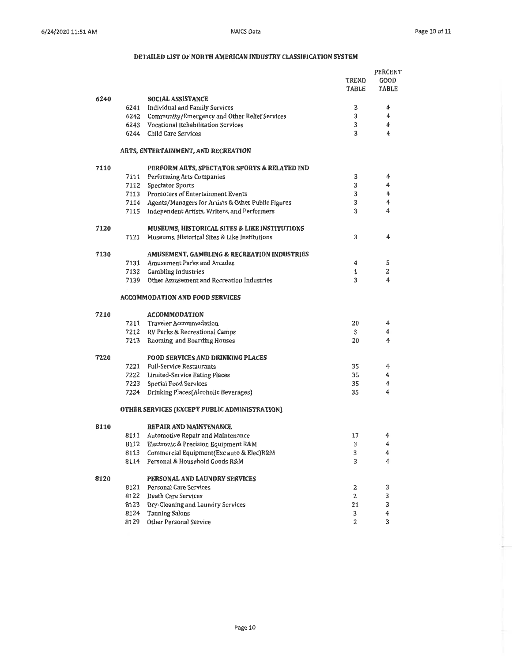÷

|      |      |                                                                                               |                | PERCENT       |
|------|------|-----------------------------------------------------------------------------------------------|----------------|---------------|
|      |      |                                                                                               | TREND          | GOOD<br>TABLE |
|      |      |                                                                                               | TABLE          |               |
| 6240 |      | <b>SOCIAL ASSISTANCE</b>                                                                      | 3              | 4             |
|      |      | 6241 Individual and Family Services                                                           | 3              | 4             |
|      |      | 6242 Community/Emergency and Other Relief Services<br>6243 Vocational Rehabilitation Services | 3              | 4             |
|      |      | 6244 Child Care Services                                                                      | 3              | 4             |
|      |      |                                                                                               |                |               |
|      |      | <b>ARTS, ENTERTAINMENT, AND RECREATION</b>                                                    |                |               |
| 7110 |      | PERFORM ARTS, SPECTATOR SPORTS & RELATED IND                                                  |                |               |
|      |      | 7111 Performing Arts Companies                                                                | 3              | 4             |
|      |      | 7112 Spectator Sports                                                                         | 3              | 4             |
|      |      | 7113 Promoters of Entertainment Events                                                        | 3              | 4             |
|      |      | 7114 Agents/Managers for Artists & Other Public Figures                                       | 3              | 4             |
|      |      | 7115 Independent Artists, Writers, and Performers                                             | 3              | 4             |
| 7120 |      | <b>MUSEUMS, HISTORICAL SITES &amp; LIKE INSTITUTIONS</b>                                      |                |               |
|      | 7121 | Museums, Historical Sites & Like Institutions                                                 | 3              | 4             |
| 7130 |      | AMUSEMENT, GAMBLING & RECREATION INDUSTRIES                                                   |                |               |
|      |      | 7131 Amusement Parks and Arcades                                                              | 4              | 5             |
|      |      | 7132 Gambling Industries                                                                      | 1              | 2             |
|      | 7139 | Other Amusement and Recreation Industries                                                     | 3              | 4             |
|      |      | <b>ACCOMMODATION AND FOOD SERVICES</b>                                                        |                |               |
| 7210 |      | <b>ACCOMMODATION</b>                                                                          |                |               |
|      |      | 7211 Traveler Accommodation                                                                   | 20             | 4             |
|      |      | 7212 RV Parks & Recreational Camps                                                            | 3              | 4             |
|      |      | 7213 Rooming and Boarding Houses                                                              | 20             | 4             |
| 7220 |      | <b>FOOD SERVICES AND DRINKING PLACES</b>                                                      |                |               |
|      |      | 7221 Full-Service Restaurants                                                                 | 35             | 4             |
|      |      | 7222 Limited-Service Eating Places                                                            | 35             | 4             |
|      |      | 7223 Special Food Services                                                                    | 35             | 4             |
|      |      | 7224 Drinking Places(Alcoholic Beverages)                                                     | 35             | 4             |
|      |      | OTHER SERVICES (EXCEPT PUBLIC ADMINISTRATION)                                                 |                |               |
| 8110 |      | <b>REPAIR AND MAINTENANCE</b>                                                                 |                |               |
|      | 8111 | Automotive Repair and Maintenance                                                             | 17             | 4             |
|      | 8112 | Electronic & Precision Equipment R&M                                                          | 3              | 4             |
|      | 8113 | Commercial Equipment(Exc auto & Elec)R&M                                                      | 3              | 4             |
|      | 8114 | Personal & Household Goods R&M                                                                | 3              | 4             |
| 8120 |      | PERSONAL AND LAUNDRY SERVICES                                                                 |                |               |
|      | 8121 | Personal Care Services                                                                        | 2              | 3             |
|      | 8122 | Death Care Services                                                                           | $\overline{2}$ | 3             |
|      | 8123 | Dry-Cleaning and Laundry Services                                                             | 21             | 3             |
|      | 8124 | <b>Tanning Salons</b>                                                                         | 3              | 4             |
|      |      | 8129 Other Personal Service                                                                   | $\overline{2}$ | 3             |